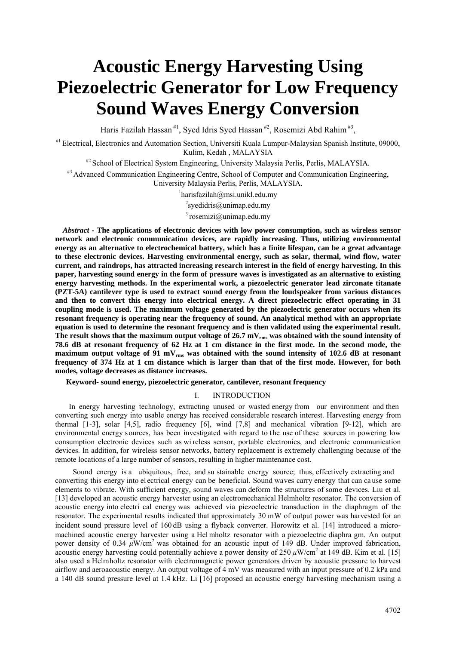# **Acoustic Energy Harvesting Using Piezoelectric Generator for Low Frequency Sound Waves Energy Conversion**

Haris Fazilah Hassan<sup>#1</sup>, Syed Idris Syed Hassan<sup>#2</sup>, Rosemizi Abd Rahim<sup>#3</sup>,

#1 Electrical, Electronics and Automation Section, Universiti Kuala Lumpur-Malaysian Spanish Institute, 09000, Kulim, Kedah , MALAYSIA

<sup>#2</sup> School of Electrical System Engineering, University Malaysia Perlis, Perlis, MALAYSIA.

<sup>#3</sup> Advanced Communication Engineering Centre, School of Computer and Communication Engineering, University Malaysia Perlis, Perlis, MALAYSIA. 1

 $^1$ harisfazilah@msi.unikl.edu.my

 $2$ syedidris@unimap.edu.my

 $3$  rosemizi@unimap.edu.my

*Abstract* **- The applications of electronic devices with low power consumption, such as wireless sensor network and electronic communication devices, are rapidly increasing. Thus, utilizing environmental energy as an alternative to electrochemical battery, which has a finite lifespan, can be a great advantage to these electronic devices. Harvesting environmental energy, such as solar, thermal, wind flow, water current, and raindrops, has attracted increasing research interest in the field of energy harvesting. In this paper, harvesting sound energy in the form of pressure waves is investigated as an alternative to existing energy harvesting methods. In the experimental work, a piezoelectric generator lead zirconate titanate (PZT-5A) cantilever type is used to extract sound energy from the loudspeaker from various distances and then to convert this energy into electrical energy. A direct piezoelectric effect operating in 31 coupling mode is used. The maximum voltage generated by the piezoelectric generator occurs when its resonant frequency is operating near the frequency of sound. An analytical method with an appropriate equation is used to determine the resonant frequency and is then validated using the experimental result.**  The result shows that the maximum output voltage of 26.7 mV<sub>rms</sub> was obtained with the sound intensity of **78.6 dB at resonant frequency of 62 Hz at 1 cm distance in the first mode. In the second mode, the**  maximum output voltage of 91 mV<sub>rms</sub> was obtained with the sound intensity of 102.6 dB at resonant **frequency of 374 Hz at 1 cm distance which is larger than that of the first mode. However, for both modes, voltage decreases as distance increases.** 

**Keyword- sound energy, piezoelectric generator, cantilever, resonant frequency** 

### I. INTRODUCTION

In energy harvesting technology, extracting unused or wasted energy from our environment and then converting such energy into usable energy has received considerable research interest. Harvesting energy from thermal  $[1-3]$ , solar  $[4,5]$ , radio frequency  $[6]$ , wind  $[7,8]$  and mechanical vibration  $[9-12]$ , which are environmental energy sources, has been investigated with regard to the use of these sources in powering low consumption electronic devices such as wi reless sensor, portable electronics, and electronic communication devices. In addition, for wireless sensor networks, battery replacement is extremely challenging because of the remote locations of a large number of sensors, resulting in higher maintenance cost.

 Sound energy is a ubiquitous, free, and su stainable energy source; thus, effectively extracting and converting this energy into el ectrical energy can be beneficial. Sound waves carry energy that can ca use some elements to vibrate. With sufficient energy, sound waves can deform the structures of some devices. Liu et al. [13] developed an acoustic energy harvester using an electromechanical Helmholtz resonator. The conversion of acoustic energy into electri cal energy was achieved via piezoelectric transduction in the diaphragm of the resonator. The experimental results indicated that approximately 30 mW of output power was harvested for an incident sound pressure level of 160 dB using a flyback converter. Horowitz et al. [14] introduced a micromachined acoustic energy harvester using a Hel mholtz resonator with a piezoelectric diaphra gm. An output power density of 0.34 *μ*W/cm2 was obtained for an acoustic input of 149 dB. Under improved fabrication, acoustic energy harvesting could potentially achieve a power density of 250  $\mu$ W/cm<sup>2</sup> at 149 dB. Kim et al. [15] also used a Helmholtz resonator with electromagnetic power generators driven by acoustic pressure to harvest airflow and aeroacoustic energy. An output voltage of 4 mV was measured with an input pressure of 0.2 kPa and a 140 dB sound pressure level at 1.4 kHz. Li [16] proposed an acoustic energy harvesting mechanism using a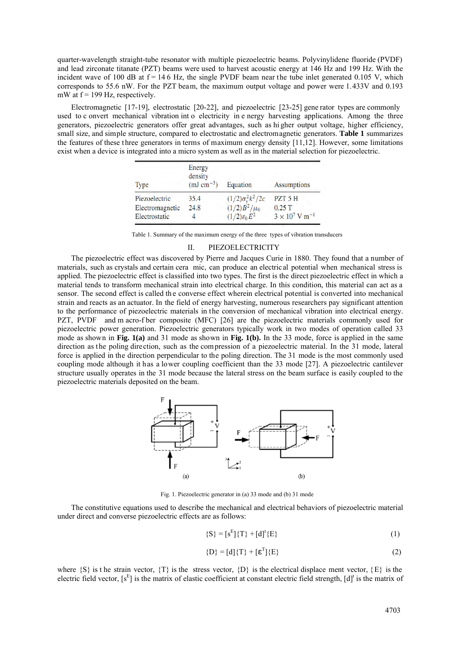quarter-wavelength straight-tube resonator with multiple piezoelectric beams. Polyvinylidene fluoride (PVDF) and lead zirconate titanate (PZT) beams were used to harvest acoustic energy at 146 Hz and 199 Hz. With the incident wave of 100 dB at  $f = 146$  Hz, the single PVDF beam near the tube inlet generated 0.105 V, which corresponds to 55.6 nW. For the PZT beam, the maximum output voltage and power were 1.433V and 0.193 mW at  $f = 199$  Hz, respectively.

Electromagnetic [17-19], electrostatic [20-22], and piezoelectric [23-25] gene rator types are commonly used to c onvert mechanical vibration int o electricity in e nergy harvesting applications. Among the three generators, piezoelectric generators offer great advantages, such as hi gher output voltage, higher efficiency, small size, and simple structure, compared to electrostatic and electromagnetic generators. **Table 1** summarizes the features of these three generators in terms of maximum energy density [11,12]. However, some limitations exist when a device is integrated into a micro system as well as in the material selection for piezoelectric.

| <b>Type</b>     | Energy<br>density<br>$(mJ cm^{-3})$ | Equation                       | <b>Assumptions</b>                |  |
|-----------------|-------------------------------------|--------------------------------|-----------------------------------|--|
| Piezoelectric   | 35.4                                | $(1/2)\sigma_{\rm v}^2 k^2/2c$ | PZT 5 H                           |  |
| Electromagnetic | 24.8                                | $(1/2)B^2/\mu_0$               | 0.25T                             |  |
| Electrostatic   |                                     | $(1/2)\varepsilon_0 E^2$       | $3 \times 10^7$ V m <sup>-1</sup> |  |

Table 1. Summary of the maximum energy of the three types of vibration transducers

#### II. PIEZOELECTRICITY

The piezoelectric effect was discovered by Pierre and Jacques Curie in 1880. They found that a number of materials, such as crystals and certain cera mic, can produce an electrical potential when mechanical stress is applied. The piezoelectric effect is classified into two types. The first is the direct piezoelectric effect in which a material tends to transform mechanical strain into electrical charge. In this condition, this material can act as a sensor. The second effect is called the converse effect wherein electrical potential is converted into mechanical strain and reacts as an actuator. In the field of energy harvesting, numerous researchers pay significant attention to the performance of piezoelectric materials in the conversion of mechanical vibration into electrical energy. PZT, PVDF and m acro-f ber composite (MFC) [26] are the piezoelectric materials commonly used for piezoelectric power generation. Piezoelectric generators typically work in two modes of operation called 33 mode as shown in **Fig. 1(a)** and 31 mode as shown in **Fig. 1(b).** In the 33 mode, force is applied in the same direction as the poling direction, such as the compression of a piezoelectric material. In the 31 mode, lateral force is applied in the direction perpendicular to the poling direction. The 31 mode is the most commonly used coupling mode although it has a lower coupling coefficient than the 33 mode [27]. A piezoelectric cantilever structure usually operates in the 31 mode because the lateral stress on the beam surface is easily coupled to the piezoelectric materials deposited on the beam.



Fig. 1. Piezoelectric generator in (a) 33 mode and (b) 31 mode

The constitutive equations used to describe the mechanical and electrical behaviors of piezoelectric material under direct and converse piezoelectric effects are as follows:

$$
\{S\} = [S^{E}]\{T\} + [d]^{t}\{E\}
$$
 (1)

$$
\{D\} = [d]\{T\} + [\epsilon^T]\{E\}
$$
 (2)

where  $\{S\}$  is the strain vector,  $\{T\}$  is the stress vector,  $\{D\}$  is the electrical displace ment vector,  $\{E\}$  is the electric field vector,  $[s^E]$  is the matrix of elastic coefficient at constant electric field strength,  $[d]$ <sup>t</sup> is the matrix of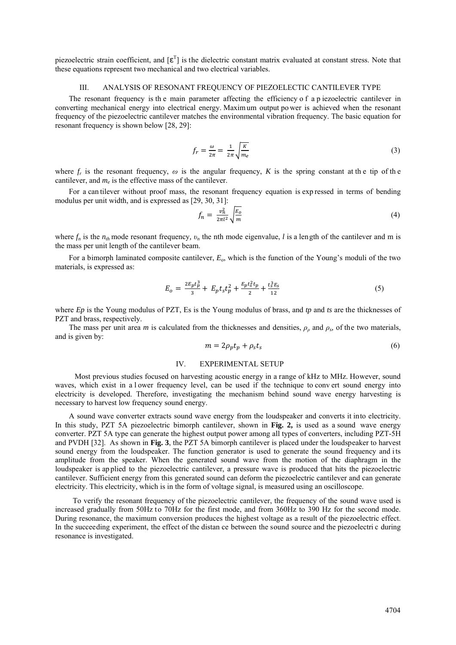piezoelectric strain coefficient, and  $[\epsilon^T]$  is the dielectric constant matrix evaluated at constant stress. Note that these equations represent two mechanical and two electrical variables.

#### III. ANALYSIS OF RESONANT FREQUENCY OF PIEZOELECTIC CANTILEVER TYPE

The resonant frequency is the main parameter affecting the efficiency of a p iezoelectric cantilever in converting mechanical energy into electrical energy. Maxim um output po wer is achieved when the resonant frequency of the piezoelectric cantilever matches the environmental vibration frequency. The basic equation for resonant frequency is shown below [28, 29]:

$$
f_r = \frac{\omega}{2\pi} = \frac{1}{2\pi} \sqrt{\frac{K}{m_e}}
$$
 (3)

where  $f_r$  is the resonant frequency,  $\omega$  is the angular frequency, *K* is the spring constant at the tip of the cantilever, and  $m_e$  is the effective mass of the cantilever.

For a can tilever without proof mass, the resonant frequency equation is exp ressed in terms of bending modulus per unit width, and is expressed as [29, 30, 31]:

$$
f_n = \frac{v_n^2}{2\pi l^2} \sqrt{\frac{E_o}{m}}\tag{4}
$$

where  $f_n$  is the  $n_{th}$  mode resonant frequency,  $v_n$  the nth mode eigenvalue, *l* is a length of the cantilever and m is the mass per unit length of the cantilever beam.

For a bimorph laminated composite cantilever, *Eo*, which is the function of the Young's moduli of the two materials, is expressed as:

$$
E_o = \frac{2E_p t_p^3}{3} + E_p t_s t_p^2 + \frac{E_p t_s^2 t_p}{2} + \frac{t_s^3 E_s}{12}
$$
(5)

where *Ep* is the Young modulus of PZT, Es is the Young modulus of brass, and *tp* and *ts* are the thicknesses of PZT and brass, respectively.

The mass per unit area *m* is calculated from the thicknesses and densities,  $\rho$ <sub>*ρ*</sub> and  $\rho$ <sub>*s*</sub>, of the two materials, and is given by:

$$
m = 2\rho_p t_p + \rho_s t_s \tag{6}
$$

### IV. EXPERIMENTAL SETUP

 Most previous studies focused on harvesting acoustic energy in a range of kHz to MHz. However, sound waves, which exist in a l ower frequency level, can be used if the technique to conv ert sound energy into electricity is developed. Therefore, investigating the mechanism behind sound wave energy harvesting is necessary to harvest low frequency sound energy.

A sound wave converter extracts sound wave energy from the loudspeaker and converts it into electricity. In this study, PZT 5A piezoelectric bimorph cantilever, shown in **Fig. 2,** is used as a sound wave energy converter. PZT 5A type can generate the highest output power among all types of converters, including PZT-5H and PVDH [32]. As shown in **Fig. 3**, the PZT 5A bimorph cantilever is placed under the loudspeaker to harvest sound energy from the loudspeaker. The function generator is used to generate the sound frequency and its amplitude from the speaker. When the generated sound wave from the motion of the diaphragm in the loudspeaker is ap plied to the piezoelectric cantilever, a pressure wave is produced that hits the piezoelectric cantilever. Sufficient energy from this generated sound can deform the piezoelectric cantilever and can generate electricity. This electricity, which is in the form of voltage signal, is measured using an oscilloscope.

 To verify the resonant frequency of the piezoelectric cantilever, the frequency of the sound wave used is increased gradually from 50Hz to 70Hz for the first mode, and from 360Hz to 390 Hz for the second mode. During resonance, the maximum conversion produces the highest voltage as a result of the piezoelectric effect. In the succeeding experiment, the effect of the distan ce between the sound source and the piezoelectri c during resonance is investigated.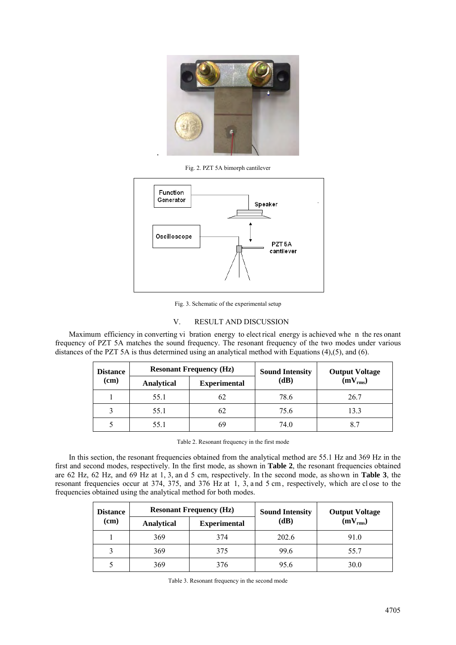

Fig. 2. PZT 5A bimorph cantilever



Fig. 3. Schematic of the experimental setup

## V. RESULT AND DISCUSSION

Maximum efficiency in converting vi bration energy to elect rical energy is achieved whe n the res onant frequency of PZT 5A matches the sound frequency. The resonant frequency of the two modes under various distances of the PZT 5A is thus determined using an analytical method with Equations (4),(5), and (6).

| <b>Distance</b> | <b>Resonant Frequency (Hz)</b> |                     | <b>Sound Intensity</b> | <b>Output Voltage</b> |  |
|-----------------|--------------------------------|---------------------|------------------------|-----------------------|--|
| (cm)            | <b>Analytical</b>              | <b>Experimental</b> | (dB)                   | $(mV_{rms})$          |  |
|                 | 55.1                           | 62                  | 78.6                   | 26.7                  |  |
|                 | 55.1                           | 62                  | 75.6                   | 13.3                  |  |
|                 | 55.1                           | 69                  | 74.0                   |                       |  |

Table 2. Resonant frequency in the first mode

In this section, the resonant frequencies obtained from the analytical method are 55.1 Hz and 369 Hz in the first and second modes, respectively. In the first mode, as shown in **Table 2**, the resonant frequencies obtained are 62 Hz, 62 Hz, and 69 Hz at 1, 3, an d 5 cm, respectively. In the second mode, as shown in **Table 3**, the resonant frequencies occur at 374, 375, and 376 Hz at 1, 3, and 5 cm, respectively, which are close to the frequencies obtained using the analytical method for both modes.

| <b>Distance</b><br>(cm) | <b>Resonant Frequency (Hz)</b> |                     | <b>Sound Intensity</b> | <b>Output Voltage</b> |  |
|-------------------------|--------------------------------|---------------------|------------------------|-----------------------|--|
|                         | <b>Analytical</b>              | <b>Experimental</b> | (dB)                   | $(mV_{rms})$          |  |
|                         | 369                            | 374                 | 202.6                  | 91.0                  |  |
| 3                       | 369                            | 375                 | 99.6                   | 55.7                  |  |
|                         | 369                            | 376                 | 95.6                   | 30.0                  |  |

|  |  | Table 3. Resonant frequency in the second mode |  |  |  |
|--|--|------------------------------------------------|--|--|--|
|--|--|------------------------------------------------|--|--|--|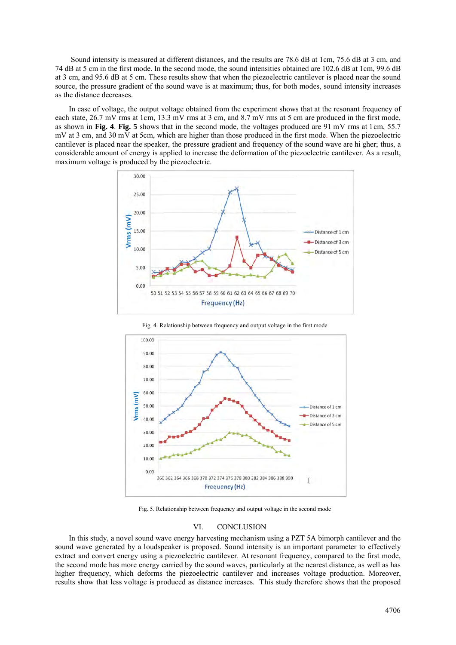Sound intensity is measured at different distances, and the results are 78.6 dB at 1cm, 75.6 dB at 3 cm, and 74 dB at 5 cm in the first mode. In the second mode, the sound intensities obtained are 102.6 dB at 1cm, 99.6 dB at 3 cm, and 95.6 dB at 5 cm. These results show that when the piezoelectric cantilever is placed near the sound source, the pressure gradient of the sound wave is at maximum; thus, for both modes, sound intensity increases as the distance decreases.

In case of voltage, the output voltage obtained from the experiment shows that at the resonant frequency of each state, 26.7 mV rms at 1cm, 13.3 mV rms at 3 cm, and 8.7 mV rms at 5 cm are produced in the first mode, as shown in **Fig. 4**. **Fig. 5** shows that in the second mode, the voltages produced are 91 mV rms at 1cm, 55.7 mV at 3 cm, and 30 mV at 5cm, which are higher than those produced in the first mode. When the piezoelectric cantilever is placed near the speaker, the pressure gradient and frequency of the sound wave are hi gher; thus, a considerable amount of energy is applied to increase the deformation of the piezoelectric cantilever. As a result, maximum voltage is produced by the piezoelectric.



Fig. 4. Relationship between frequency and output voltage in the first mode



Fig. 5. Relationship between frequency and output voltage in the second mode

## VI. CONCLUSION

In this study, a novel sound wave energy harvesting mechanism using a PZT 5A bimorph cantilever and the sound wave generated by a loudspeaker is proposed. Sound intensity is an important parameter to effectively extract and convert energy using a piezoelectric cantilever. At resonant frequency, compared to the first mode, the second mode has more energy carried by the sound waves, particularly at the nearest distance, as well as has higher frequency, which deforms the piezoelectric cantilever and increases voltage production. Moreover, results show that less voltage is produced as distance increases. This study therefore shows that the proposed